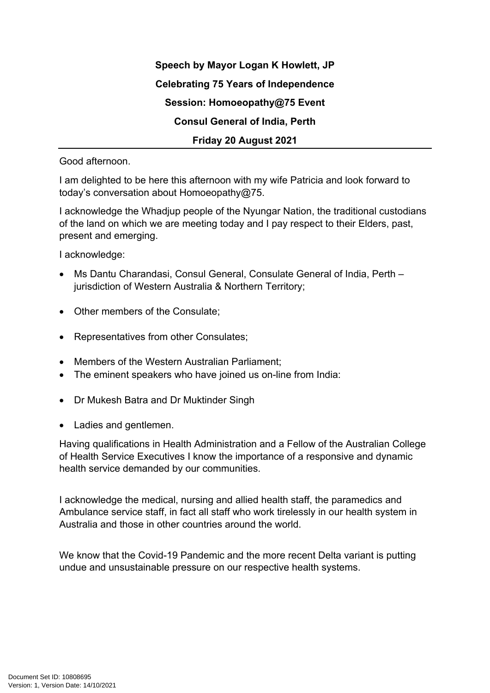**Speech by Mayor Logan K Howlett, JP Celebrating 75 Years of Independence Session: Homoeopathy@75 Event Consul General of India, Perth Friday 20 August 2021**

Good afternoon.

I am delighted to be here this afternoon with my wife Patricia and look forward to today's conversation about Homoeopathy@75.

I acknowledge the Whadjup people of the Nyungar Nation, the traditional custodians of the land on which we are meeting today and I pay respect to their Elders, past, present and emerging.

I acknowledge:

- Ms Dantu Charandasi, Consul General, Consulate General of India, Perth jurisdiction of Western Australia & Northern Territory;
- Other members of the Consulate;
- Representatives from other Consulates;
- Members of the Western Australian Parliament;
- The eminent speakers who have joined us on-line from India:
- Dr Mukesh Batra and Dr Muktinder Singh
- Ladies and gentlemen.

Having qualifications in Health Administration and a Fellow of the Australian College of Health Service Executives I know the importance of a responsive and dynamic health service demanded by our communities.

I acknowledge the medical, nursing and allied health staff, the paramedics and Ambulance service staff, in fact all staff who work tirelessly in our health system in Australia and those in other countries around the world.

We know that the Covid-19 Pandemic and the more recent Delta variant is putting undue and unsustainable pressure on our respective health systems.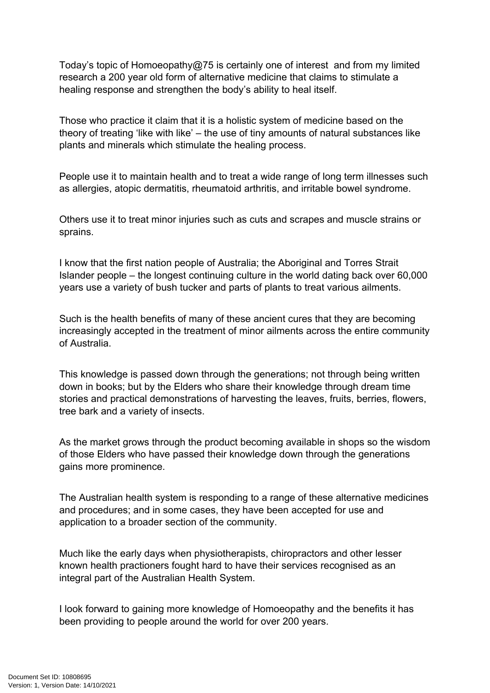Today's topic of Homoeopathy@75 is certainly one of interest and from my limited research a 200 year old form of alternative medicine that claims to stimulate a healing response and strengthen the body's ability to heal itself.

Those who practice it claim that it is a holistic system of medicine based on the theory of treating 'like with like' – the use of tiny amounts of natural substances like plants and minerals which stimulate the healing process.

People use it to maintain health and to treat a wide range of long term illnesses such as allergies, atopic dermatitis, rheumatoid arthritis, and irritable bowel syndrome.

Others use it to treat minor injuries such as cuts and scrapes and muscle strains or sprains.

I know that the first nation people of Australia; the Aboriginal and Torres Strait Islander people – the longest continuing culture in the world dating back over 60,000 years use a variety of bush tucker and parts of plants to treat various ailments.

Such is the health benefits of many of these ancient cures that they are becoming increasingly accepted in the treatment of minor ailments across the entire community of Australia.

This knowledge is passed down through the generations; not through being written down in books; but by the Elders who share their knowledge through dream time stories and practical demonstrations of harvesting the leaves, fruits, berries, flowers, tree bark and a variety of insects.

As the market grows through the product becoming available in shops so the wisdom of those Elders who have passed their knowledge down through the generations gains more prominence.

The Australian health system is responding to a range of these alternative medicines and procedures; and in some cases, they have been accepted for use and application to a broader section of the community.

Much like the early days when physiotherapists, chiropractors and other lesser known health practioners fought hard to have their services recognised as an integral part of the Australian Health System.

I look forward to gaining more knowledge of Homoeopathy and the benefits it has been providing to people around the world for over 200 years.